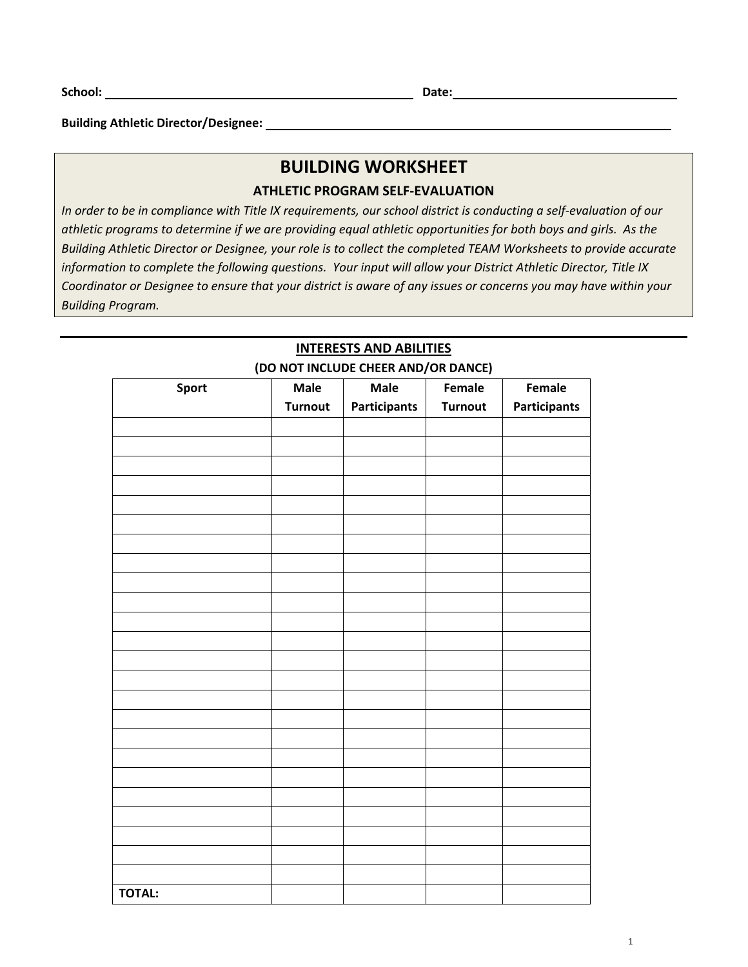**Building Athletic Director/Designee:** 

# **BUILDING WORKSHEET**

## **ATHLETIC PROGRAM SELF‐EVALUATION**

*In order to be in compliance with Title IX requirements, our school district is conducting a self‐evaluation of our athletic programs to determine if we are providing equal athletic opportunities for both boys and girls. As the Building Athletic Director or Designee, your role is to collect the completed TEAM Worksheets to provide accurate information to complete the following questions. Your input will allow your District Athletic Director, Title IX Coordinator or Designee to ensure that your district is aware of any issues or concerns you may have within your Building Program.* 

| <b>Sport</b>  | <b>Male</b>    | Male                | Female         | Female              |
|---------------|----------------|---------------------|----------------|---------------------|
|               | <b>Turnout</b> | <b>Participants</b> | <b>Turnout</b> | <b>Participants</b> |
|               |                |                     |                |                     |
|               |                |                     |                |                     |
|               |                |                     |                |                     |
|               |                |                     |                |                     |
|               |                |                     |                |                     |
|               |                |                     |                |                     |
|               |                |                     |                |                     |
|               |                |                     |                |                     |
|               |                |                     |                |                     |
|               |                |                     |                |                     |
|               |                |                     |                |                     |
|               |                |                     |                |                     |
|               |                |                     |                |                     |
|               |                |                     |                |                     |
|               |                |                     |                |                     |
|               |                |                     |                |                     |
|               |                |                     |                |                     |
|               |                |                     |                |                     |
|               |                |                     |                |                     |
|               |                |                     |                |                     |
|               |                |                     |                |                     |
|               |                |                     |                |                     |
|               |                |                     |                |                     |
|               |                |                     |                |                     |
|               |                |                     |                |                     |
| <b>TOTAL:</b> |                |                     |                |                     |

## **INTERESTS AND ABILITIES (DO NOT INCLUDE CHEER AND/OR DANCE)**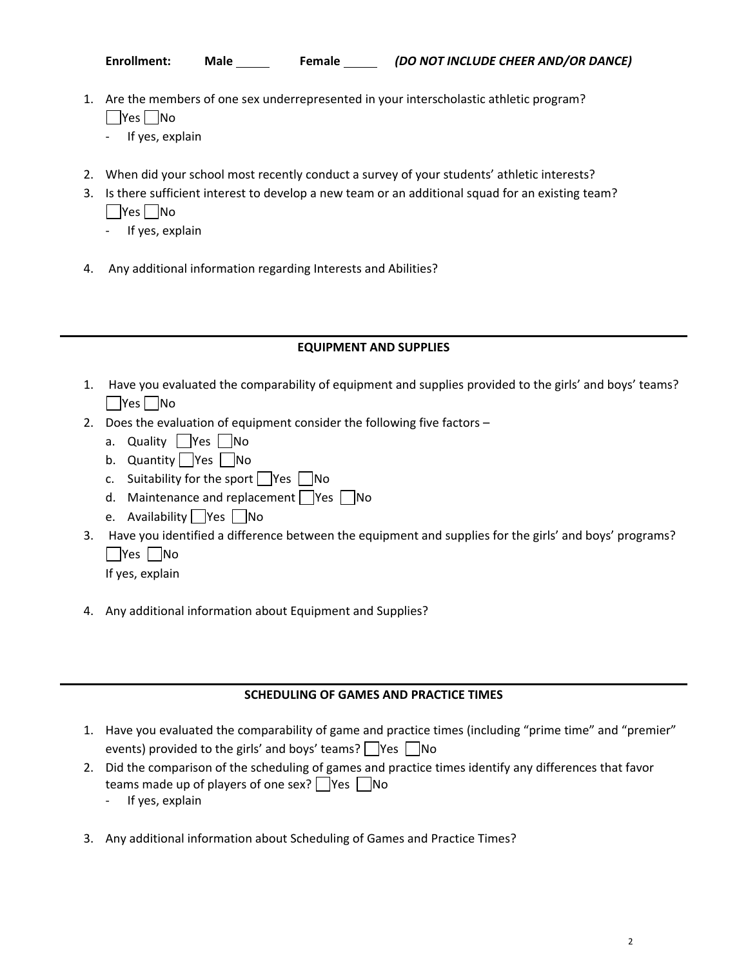- 1. Are the members of one sex underrepresented in your interscholastic athletic program? **No** 
	- ‐ If yes, explain
- 2. When did your school most recently conduct a survey of your students' athletic interests?
- 3. Is there sufficient interest to develop a new team or an additional squad for an existing team? | Yes | No
	- ‐ If yes, explain
- 4. Any additional information regarding Interests and Abilities?

#### **EQUIPMENT AND SUPPLIES**

- 1. Have you evaluated the comparability of equipment and supplies provided to the girls' and boys' teams? **No**
- 2. Does the evaluation of equipment consider the following five factors
	- a. Quality  $\Box$  Yes  $\Box$  No
	- b. Quantity  $\Box$  Yes  $\Box$  No
	- c. Suitability for the sport  $\Box$  Yes  $\Box$  No
	- d. Maintenance and replacement  $\Box$  Yes  $\Box$  No
	- e. Availability  $\Box$  Yes  $\Box$  No
- 3. Have you identified a difference between the equipment and supplies for the girls' and boys' programs? | Yes | No

If yes, explain

4. Any additional information about Equipment and Supplies?

#### **SCHEDULING OF GAMES AND PRACTICE TIMES**

- 1. Have you evaluated the comparability of game and practice times (including "prime time" and "premier" events) provided to the girls' and boys' teams?  $\Box$  Yes  $\Box$  No
- 2. Did the comparison of the scheduling of games and practice times identify any differences that favor teams made up of players of one sex?  $\Box$  Yes  $\Box$  No
	- ‐ If yes, explain
- 3. Any additional information about Scheduling of Games and Practice Times?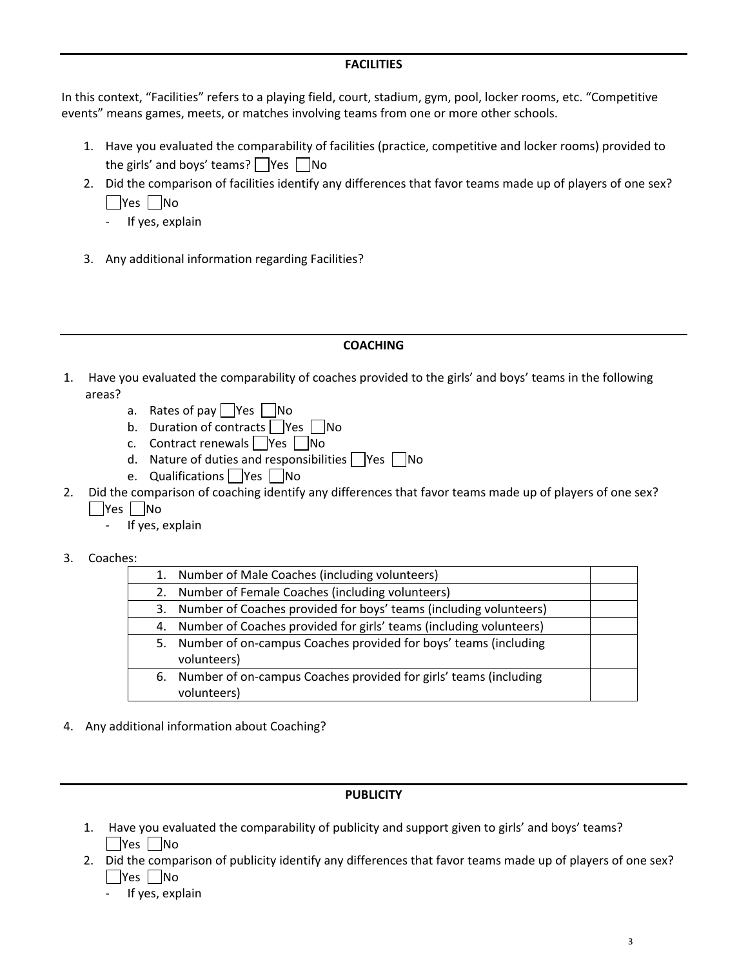#### **FACILITIES**

In this context, "Facilities" refers to a playing field, court, stadium, gym, pool, locker rooms, etc. "Competitive events" means games, meets, or matches involving teams from one or more other schools.

- 1. Have you evaluated the comparability of facilities (practice, competitive and locker rooms) provided to the girls' and boys' teams?  $\sqrt{\frac{1}{10}}$  Yes  $\sqrt{\frac{1}{10}}$  No
- 2. Did the comparison of facilities identify any differences that favor teams made up of players of one sex? | Yes | No
	- ‐ If yes, explain
- 3. Any additional information regarding Facilities?

## **COACHING**

- 1. Have you evaluated the comparability of coaches provided to the girls' and boys' teams in the following areas?
	- a. Rates of pay  $\Box$  Yes  $\Box$  No
	- b. Duration of contracts  $\sqrt{\frac{1}{10}}$  Yes  $\sqrt{\frac{1}{10}}$
	- c. Contract renewals  $\Box$  Yes  $\Box$  No
	- d. Nature of duties and responsibilities  $\Box$  Yes  $\Box$  No
	- e. Qualifications Yes No
- 2. Did the comparison of coaching identify any differences that favor teams made up of players of one sex? | Yes | No
	- ‐ If yes, explain
- 3. Coaches:

| 1. | Number of Male Coaches (including volunteers)                      |  |
|----|--------------------------------------------------------------------|--|
| 2. | Number of Female Coaches (including volunteers)                    |  |
| 3. | Number of Coaches provided for boys' teams (including volunteers)  |  |
| 4. | Number of Coaches provided for girls' teams (including volunteers) |  |
| 5. | Number of on-campus Coaches provided for boys' teams (including    |  |
|    | volunteers)                                                        |  |
| 6. | Number of on-campus Coaches provided for girls' teams (including   |  |
|    | volunteers)                                                        |  |
|    |                                                                    |  |

4. Any additional information about Coaching?

#### **PUBLICITY**

- 1. Have you evaluated the comparability of publicity and support given to girls' and boys' teams? | |Yes | |No
- 2. Did the comparison of publicity identify any differences that favor teams made up of players of one sex?  $\Box$ Yes  $\Box$ No
	- If yes, explain